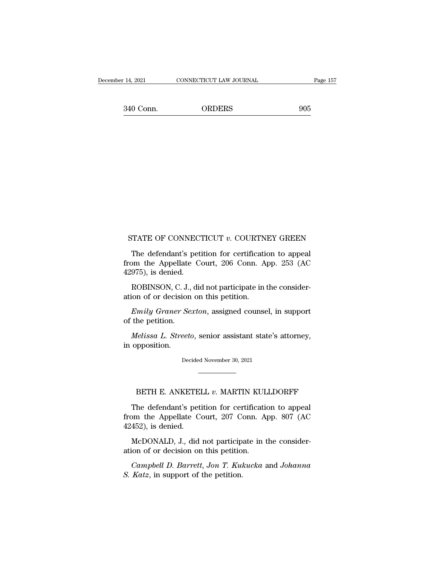14, 2021 CONNECTICUT LAW JOURNAL Page 157<br>340 Conn. ORDERS 905

# STATE OF CONNECTICUT *v*. COURTNEY GREEN<br>The defendant's petition for certification to appeal

TATE OF CONNECTICUT  $v$ . COURTNEY GREEN<br>The defendant's petition for certification to appeal<br>pm the Appellate Court, 206 Conn. App. 253 (AC<br> $(975)$  is dopied STATE OF CONNECTICUT  $v$ . COURTNEY GREEN<br>The defendant's petition for certification to appeal<br>from the Appellate Court, 206 Conn. App. 253 (AC<br>42975), is denied. STATE OF CONNECT<br>The defendant's pet<br>from the Appellate C<br>42975), is denied.<br>ROBINSON, C. J., dia TATE OF CONNECTICUT  $v$ . COURTNEY GREEN<br>The defendant's petition for certification to appeal<br>pm the Appellate Court, 206 Conn. App. 253 (AC<br>975), is denied.<br>ROBINSON, C. J., did not participate in the consider-<br>ion of or STATE OF CONNECTICUT  $v$ . COURTN<br>The defendant's petition for certification<br>from the Appellate Court, 206 Conn. A<br>42975), is denied.<br>ROBINSON, C. J., did not participate in<br>ation of or decision on this petition.<br>Emily Gra The defendant's petition for certification to appeal<br>
pm the Appellate Court, 206 Conn. App. 253 (AC<br>
975), is denied.<br>
ROBINSON, C. J., did not participate in the consider-<br>
ion of or decision on this petition.<br> *Emily Gr* 

from the Appellate<br>42975), is denied.<br>ROBINSON, C. J.,<br>ation of or decision<br>*Emily Graner Se.*<br>of the petition.<br>*Melissa L. Streete* 

*ROBINSON, C. J., did not participate in the considerion of or decision on this petition.*<br> *Emily Graner Sexton, assigned counsel, in support the petition.*<br> *Melissa L. Streeto, senior assistant state's attorney, opposit* ROBINSON, C. J.<br>ation of or decision<br>*Emily Graner Ss*<br>of the petition.<br>*Melissa L. Street*<br>in opposition.

Melissa L. Streeto, senior assistant state's attorney, opposition.<br>Decided November 30, 2021 Felissa L. Streeto, senior assistant state's attorney,<br>pposition.<br>Decided November 30, 2021<br>BETH E. ANKETELL *v*. MARTIN KULLDORFF<br>he defendant's petition for certification to appeal

Decided November 30, 2021<br>
The defendant's petition for certification to appeal<br>
Defendant's petition for certification to appeal<br>
Definition for certification to appeal<br>
Definition for certification to appeal<br>
The Appella Decided November 30, 2021<br> **From the Appellate Court, 207 Conn. App. 807 (AC** 42452), is denied. BETH E. ANKETE<br>The defendant's pet<br>from the Appellate C<br>42452), is denied.<br>McDONALD, J., did BETH E. ANKETELL v. MARTIN KULLDORFF<br>The defendant's petition for certification to appeal<br>om the Appellate Court, 207 Conn. App. 807 (AC<br>452), is denied.<br>McDONALD, J., did not participate in the consider-<br>ion of or decisio BETH E. ANKETELL  $v$ . MARTIN KULT The defendant's petition for certification from the Appellate Court, 207 Conn. A 42452), is denied.<br>McDONALD, J., did not participate in thation of or decision on this petition.<br>Campbell The detendant's petition for certification to appeal<br>
pm the Appellate Court, 207 Conn. App. 807 (AC<br>
452), is denied.<br>
McDONALD, J., did not participate in the consider-<br>
ion of or decision on this petition.<br>
Campbell D.

42452), is denied.<br> *McDONALD*, J., did not participate in the consideration of or decision on this petition.<br> *Campbell D. Barrett*, Jon T. Kukucka and Johanna<br> *S. Katz*, in support of the petition.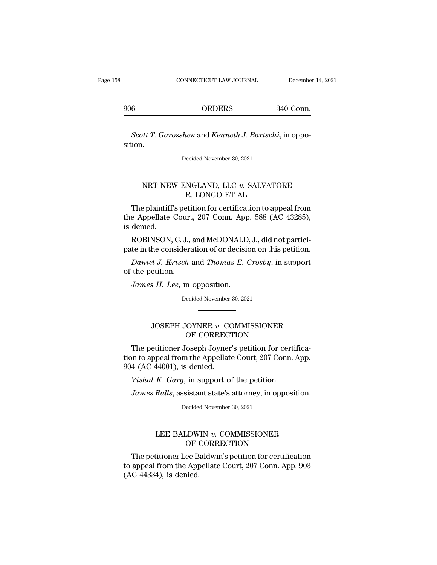<sup>906</sup> ORDERS 340 Conn.

*Scott T. Garosshen* and *Kenneth J. Bartschi*, in opposition. Scott T. Garosshen and Kenneth J. Bartschi, in oppo-<br>ion.<br>Decided November 30, 2021 NET NEW ENGLAND, LLC *v*. SALVATORE<br>R. LONGO ET AL.

# ER and Remem J. Daris<br>
ecided November 30, 2021<br>
MGLAND, LLC v. SALV.<br>
R. LONGO ET AL.<br>
etition for certification to

The plaintiff's petition for certification to appeal from Decided November 30, 2021<br>
MRT NEW ENGLAND, LLC v. SALVATORE<br>
R. LONGO ET AL.<br>
The plaintiff's petition for certification to appeal from<br>
the Appellate Court, 207 Conn. App. 588 (AC 43285),<br>
is denied. NRT NEV<br>The plaintiff<br>the Appellate<br>is denied.<br>ROBINSON,  $\begin{aligned} \text{NRT NEW ENGLAND, LLC}\ &v. \text{ SALVATORE} \\ \text{R. LONGO ET AL.} \\ \text{The plaintiff's patient for certification to appeal from}\\ \text{e Appellate Court, 207 Conn. App. 588 (AC 43285),} \\ \text{denied.} \\ \text{ROBINSON, C. J., and McDonald, J., did not participate in the consideration of or decision on this pertinent.} \end{aligned}$ R. LONGO ET AL.<br>The plaintiff's petition for certification to appeal from<br>the Appellate Court, 207 Conn. App. 588 (AC 43285),<br>is denied.<br>ROBINSON, C. J., and McDONALD, J., did not partici-<br>pate in the consideration of or d The plaintiff's petition for certification to appeal from<br>e Appellate Court, 207 Conn. App. 588 (AC 43285),<br>denied.<br>ROBINSON, C. J., and McDONALD, J., did not partici-<br>te in the consideration of or decision on this petitio the Appellate Court<br>is denied.<br>ROBINSON, C. J.,<br>pate in the considera<br>Daniel J. Krisch<br>of the petition.<br>James H. Lee, in

denied.<br> *ROBINSON, C. J., and McDONALD*<br> *Lee in the consideration of or decision.*<br> *Daniel J. Krisch and Thomas E. (*<br> *Lee, in opposition.*<br> *James H. Lee, in opposition.*<br>
Decided November 30, 202

ch and *Thomas E. Crosby*, i<br>
in opposition.<br>
Decided November 30, 2021

## etition.<br> *s H. Lee,* in opposition.<br>
Decided November 30, 2021<br> **JOSEPH JOYNER** *v***. COMMISSIONER**<br>
OF CORRECTION OF CORRECTION

Decided November 30, 2021<br>
The petitioner Joyner's petition for certifica-<br>
The petitioner Joseph Joyner's petition for certifica-<br>
The petitioner Joseph Joyner's petition for certifica-<br>
A (AC 44001) is donied Decided November 30, 2021<br>
CONNER DE COMMISSIONER<br>
OF CORRECTION<br>
The petitioner Joseph Joyner's petition for certifica-<br>
tion to appeal from the Appellate Court, 207 Conn. App.<br>
904 (AC 44001), is denied. JOSEPH JOYNER v. CONRECT<br>OF CORRECT<br>The petitioner Joseph Joyner<br>tion to appeal from the Appellate<br>904 (AC 44001), is denied.<br>Vishal K. Garg, in support of *JOSEPH JOYNER v. COMMISSIONER*<br>OF CORRECTION<br>The petitioner Joseph Joyner's petition for certi<br>n to appeal from the Appellate Court, 207 Conn.<br>4 (AC 44001), is denied.<br>*Vishal K. Garg*, in support of the petition.<br>*James James Ralls*, assistant state's attorney, in opposition.<br>*James Ralls*, assistant state's attorney, in opposition.<br>*James Ralls*, assistant state's attorney, in opposition.<br>Decided November 30, 2021 904 (AC 44001), is denied.<br>
Vishal K. Garg, in support of the petition.<br>
James Ralls, assistant state's attorney, in opposition.<br>
Decided November 30, 2021

## K. Garg, in support of the petition.<br>
Ralls, assistant state's attorney, in opposition.<br>
Decided November 30, 2021<br>
LEE BALDWIN *v*. COMMISSIONER<br>
OF CORRECTION sistant state's attorney, in opposities<br>
ecided November 30, 2021<br>
DWIN v. COMMISSIONER<br>
OF CORRECTION<br>
ee Baldwin's petition for certificat

Decided November 30, 2021<br>
The petitioner Lee Baldwin's petition for certification<br>
appeal from the Appellate Court, 207 Conn. App. 903<br>
C 44334) is donied Decided November 30, 2021<br>
LEE BALDWIN v. COMMISSIONER<br>
OF CORRECTION<br>
The petitioner Lee Baldwin's petition for certification<br>
to appeal from the Appellate Court, 207 Conn. App. 903<br>
(AC 44334), is denied. LEE BALDW<br>OF (<br>The petitioner Lee B<br>to appeal from the App<br>(AC 44334), is denied.